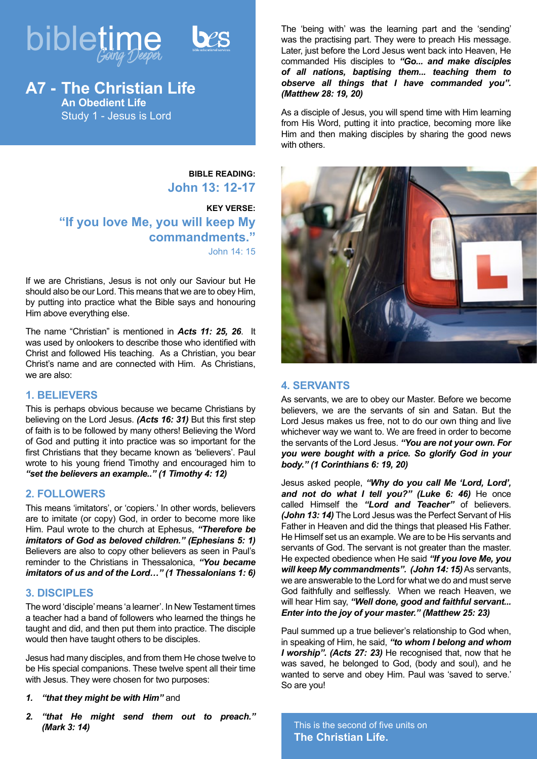

**A7 - The Christian Life An Obedient Life** Study 1 - Jesus is Lord

> **BIBLE READING: John 13: 12-17**

**KEY VERSE: "If you love Me, you will keep My commandments."** John 14: 15

If we are Christians, Jesus is not only our Saviour but He should also be our Lord. This means that we are to obey Him, by putting into practice what the Bible says and honouring Him above everything else.

The name "Christian" is mentioned in *Acts 11: 25, 26*. It was used by onlookers to describe those who identified with Christ and followed His teaching. As a Christian, you bear Christ's name and are connected with Him. As Christians, we are also:

## **1. BELIEVERS**

This is perhaps obvious because we became Christians by believing on the Lord Jesus. *(Acts 16: 31)* But this first step of faith is to be followed by many others! Believing the Word of God and putting it into practice was so important for the first Christians that they became known as 'believers'. Paul wrote to his young friend Timothy and encouraged him to *"set the believers an example.." (1 Timothy 4: 12)*

## **2. FOLLOWERS**

This means 'imitators', or 'copiers.' In other words, believers are to imitate (or copy) God, in order to become more like Him. Paul wrote to the church at Ephesus, *"Therefore be imitators of God as beloved children." (Ephesians 5: 1)* Believers are also to copy other believers as seen in Paul's reminder to the Christians in Thessalonica, *"You became imitators of us and of the Lord…" (1 Thessalonians 1: 6)*

# **3. DISCIPLES**

The word 'disciple' means 'a learner'. In New Testament times a teacher had a band of followers who learned the things he taught and did, and then put them into practice. The disciple would then have taught others to be disciples.

Jesus had many disciples, and from them He chose twelve to be His special companions. These twelve spent all their time with Jesus. They were chosen for two purposes:

- *1. "that they might be with Him"* and
- *2. "that He might send them out to preach." (Mark 3: 14)*

The 'being with' was the learning part and the 'sending' was the practising part. They were to preach His message. Later, just before the Lord Jesus went back into Heaven, He commanded His disciples to *"Go... and make disciples of all nations, baptising them... teaching them to observe all things that I have commanded you". (Matthew 28: 19, 20)*

As a disciple of Jesus, you will spend time with Him learning from His Word, putting it into practice, becoming more like Him and then making disciples by sharing the good news with others.



# **4. SERVANTS**

As servants, we are to obey our Master. Before we become believers, we are the servants of sin and Satan. But the Lord Jesus makes us free, not to do our own thing and live whichever way we want to. We are freed in order to become the servants of the Lord Jesus. *"You are not your own. For you were bought with a price. So glorify God in your body." (1 Corinthians 6: 19, 20)*

Jesus asked people, *"Why do you call Me 'Lord, Lord', and not do what I tell you?" (Luke 6: 46)* He once called Himself the *"Lord and Teacher"* of believers. *(John 13: 14)* The Lord Jesus was the Perfect Servant of His Father in Heaven and did the things that pleased His Father. He Himself set us an example. We are to be His servants and servants of God. The servant is not greater than the master. He expected obedience when He said *"If you love Me, you will keep My commandments". (John 14: 15)* As servants, we are answerable to the Lord for what we do and must serve God faithfully and selflessly. When we reach Heaven, we will hear Him say, *"Well done, good and faithful servant... Enter into the joy of your master." (Matthew 25: 23)*

Paul summed up a true believer's relationship to God when, in speaking of Him, he said, *"to whom I belong and whom I worship". (Acts 27: 23)* He recognised that, now that he was saved, he belonged to God, (body and soul), and he wanted to serve and obey Him. Paul was 'saved to serve.' So are you!

This is the second of five units on **The Christian Life.**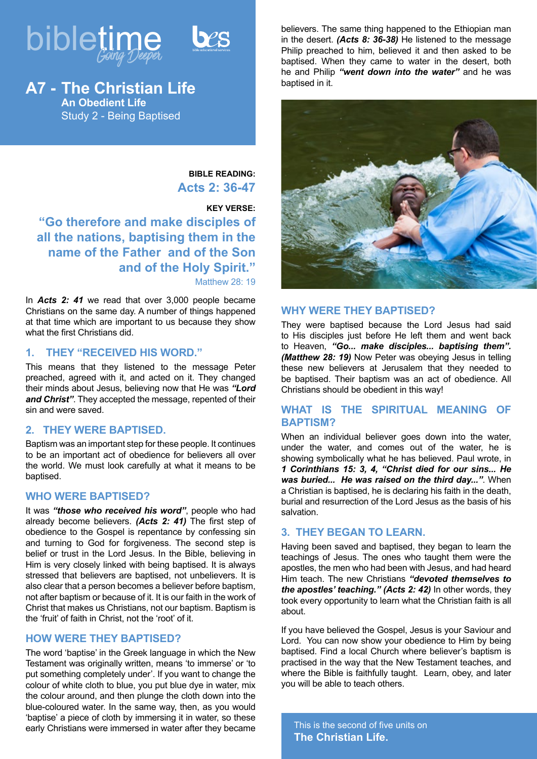



# **A7 - The Christian Life An Obedient Life**

Study 2 - Being Baptised

**BIBLE READING: Acts 2: 36-47**

# **KEY VERSE:**

**"Go therefore and make disciples of all the nations, baptising them in the name of the Father and of the Son and of the Holy Spirit."** Matthew 28: 19

In *Acts 2: 41* we read that over 3,000 people became Christians on the same day. A number of things happened at that time which are important to us because they show what the first Christians did.

# **1. THEY "RECEIVED HIS WORD."**

This means that they listened to the message Peter preached, agreed with it, and acted on it. They changed their minds about Jesus, believing now that He was *"Lord and Christ"*. They accepted the message, repented of their sin and were saved.

# **2. THEY WERE BAPTISED.**

Baptism was an important step for these people. It continues to be an important act of obedience for believers all over the world. We must look carefully at what it means to be baptised.

### **WHO WERE BAPTISED?**

It was *"those who received his word"*, people who had already become believers. *(Acts 2: 41)* The first step of obedience to the Gospel is repentance by confessing sin and turning to God for forgiveness. The second step is belief or trust in the Lord Jesus. In the Bible, believing in Him is very closely linked with being baptised. It is always stressed that believers are baptised, not unbelievers. It is also clear that a person becomes a believer before baptism, not after baptism or because of it. It is our faith in the work of Christ that makes us Christians, not our baptism. Baptism is the 'fruit' of faith in Christ, not the 'root' of it.

# **HOW WERE THEY BAPTISED?**

The word 'baptise' in the Greek language in which the New Testament was originally written, means 'to immerse' or 'to put something completely under'. If you want to change the colour of white cloth to blue, you put blue dye in water, mix the colour around, and then plunge the cloth down into the blue-coloured water. In the same way, then, as you would 'baptise' a piece of cloth by immersing it in water, so these early Christians were immersed in water after they became believers. The same thing happened to the Ethiopian man in the desert. *(Acts 8: 36-38)* He listened to the message Philip preached to him, believed it and then asked to be baptised. When they came to water in the desert, both he and Philip *"went down into the water"* and he was baptised in it.



# **WHY WERE THEY BAPTISED?**

They were baptised because the Lord Jesus had said to His disciples just before He left them and went back to Heaven, *"Go... make disciples... baptising them". (Matthew 28: 19)* Now Peter was obeying Jesus in telling these new believers at Jerusalem that they needed to be baptised. Their baptism was an act of obedience. All Christians should be obedient in this way!

# **WHAT IS THE SPIRITUAL MEANING OF BAPTISM?**

When an individual believer goes down into the water, under the water, and comes out of the water, he is showing symbolically what he has believed. Paul wrote, in *1 Corinthians 15: 3, 4, "Christ died for our sins... He was buried... He was raised on the third day..."*. When a Christian is baptised, he is declaring his faith in the death, burial and resurrection of the Lord Jesus as the basis of his salvation.

# **3. THEY BEGAN TO LEARN.**

Having been saved and baptised, they began to learn the teachings of Jesus. The ones who taught them were the apostles, the men who had been with Jesus, and had heard Him teach. The new Christians *"devoted themselves to the apostles' teaching." (Acts 2: 42)* In other words, they took every opportunity to learn what the Christian faith is all about.

If you have believed the Gospel, Jesus is your Saviour and Lord. You can now show your obedience to Him by being baptised. Find a local Church where believer's baptism is practised in the way that the New Testament teaches, and where the Bible is faithfully taught. Learn, obey, and later you will be able to teach others.

This is the second of five units on **The Christian Life.**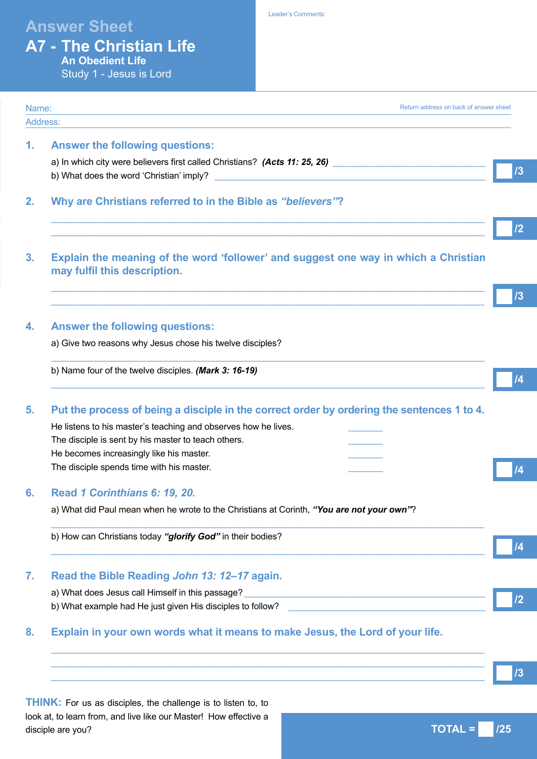# **Answer Sheet**

Leader's Comments:

| <b>A7 - The Christian Life</b> |  |  |                  |  |  |
|--------------------------------|--|--|------------------|--|--|
|                                |  |  | An Obedient Life |  |  |
|                                |  |  |                  |  |  |

Study 1 - Jesus is Lord

| Address:                                                                                                                                                                  |
|---------------------------------------------------------------------------------------------------------------------------------------------------------------------------|
|                                                                                                                                                                           |
| <b>Answer the following questions:</b>                                                                                                                                    |
| a) In which city were believers first called Christians? (Acts 11: 25, 26)                                                                                                |
| b) What does the word 'Christian' imply?                                                                                                                                  |
|                                                                                                                                                                           |
| Why are Christians referred to in the Bible as "believers"?                                                                                                               |
|                                                                                                                                                                           |
|                                                                                                                                                                           |
| Explain the meaning of the word 'follower' and suggest one way in which a Christian<br>may fulfil this description.                                                       |
|                                                                                                                                                                           |
| <b>Answer the following questions:</b>                                                                                                                                    |
| a) Give two reasons why Jesus chose his twelve disciples?                                                                                                                 |
| b) Name four of the twelve disciples. (Mark 3: 16-19)                                                                                                                     |
| Put the process of being a disciple in the correct order by ordering the sentences 1 to 4.                                                                                |
| He listens to his master's teaching and observes how he lives.                                                                                                            |
| The disciple is sent by his master to teach others.                                                                                                                       |
| He becomes increasingly like his master.                                                                                                                                  |
| The disciple spends time with his master.                                                                                                                                 |
|                                                                                                                                                                           |
| Read 1 Corinthians 6: 19, 20.                                                                                                                                             |
| a) What did Paul mean when he wrote to the Christians at Corinth, "You are not your own"?                                                                                 |
| b) How can Christians today "glorify God" in their bodies?                                                                                                                |
|                                                                                                                                                                           |
| Read the Bible Reading John 13: 12-17 again.                                                                                                                              |
| a) What does Jesus call Himself in this passage?<br><u> 1980 - Johann Johann Stoff, deutscher Stoffen und der Stoffen und der Stoffen und der Stoffen und der Stoffen</u> |
| b) What example had He just given His disciples to follow?<br>the contract of the contract of the contract of the contract of the contract of                             |
| Explain in your own words what it means to make Jesus, the Lord of your life.                                                                                             |
|                                                                                                                                                                           |
| <u> 1989 - Johann Stoff, amerikansk politiker (d. 1989)</u>                                                                                                               |

**THINK:** For us as disciples, the challenge is to listen to, to look at, to learn from, and live like our Master! How effective a disciple are you?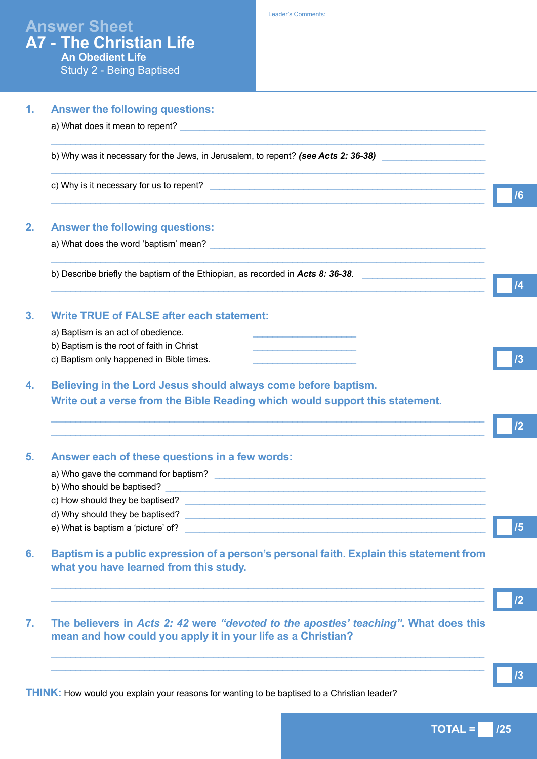| <b>Answer the following questions:</b>                                                                                                                                                                                              |
|-------------------------------------------------------------------------------------------------------------------------------------------------------------------------------------------------------------------------------------|
| a) What does it mean to repent? <b>Example 2</b> and the set of the set of the set of the set of the set of the set of the set of the set of the set of the set of the set of the set of the set of the set of the set of the set o |
| b) Why was it necessary for the Jews, in Jerusalem, to repent? (see Acts 2: 36-38)                                                                                                                                                  |
|                                                                                                                                                                                                                                     |
| <b>Answer the following questions:</b>                                                                                                                                                                                              |
|                                                                                                                                                                                                                                     |
| b) Describe briefly the baptism of the Ethiopian, as recorded in Acts 8: 36-38.                                                                                                                                                     |
| <b>Write TRUE of FALSE after each statement:</b>                                                                                                                                                                                    |
| a) Baptism is an act of obedience.                                                                                                                                                                                                  |
| b) Baptism is the root of faith in Christ                                                                                                                                                                                           |
| c) Baptism only happened in Bible times.                                                                                                                                                                                            |
| Believing in the Lord Jesus should always come before baptism.                                                                                                                                                                      |
| Write out a verse from the Bible Reading which would support this statement.                                                                                                                                                        |
|                                                                                                                                                                                                                                     |
| Answer each of these questions in a few words:                                                                                                                                                                                      |
|                                                                                                                                                                                                                                     |
|                                                                                                                                                                                                                                     |
| c) How should they be baptised? The same state of the state of the state of the state of the state of the state of the state of the state of the state of the state of the state of the state of the state of the state of the      |
| e) What is baptism a 'picture' of?<br>e) What is baptism a 'picture' of?                                                                                                                                                            |
| Baptism is a public expression of a person's personal faith. Explain this statement from                                                                                                                                            |
| what you have learned from this study.                                                                                                                                                                                              |
|                                                                                                                                                                                                                                     |
|                                                                                                                                                                                                                                     |
| The believers in Acts 2: 42 were "devoted to the apostles' teaching". What does this<br>mean and how could you apply it in your life as a Christian?                                                                                |
|                                                                                                                                                                                                                                     |
|                                                                                                                                                                                                                                     |

**THINK:** How would you explain your reasons for wanting to be baptised to a Christian leader?

**TOTAL = /25**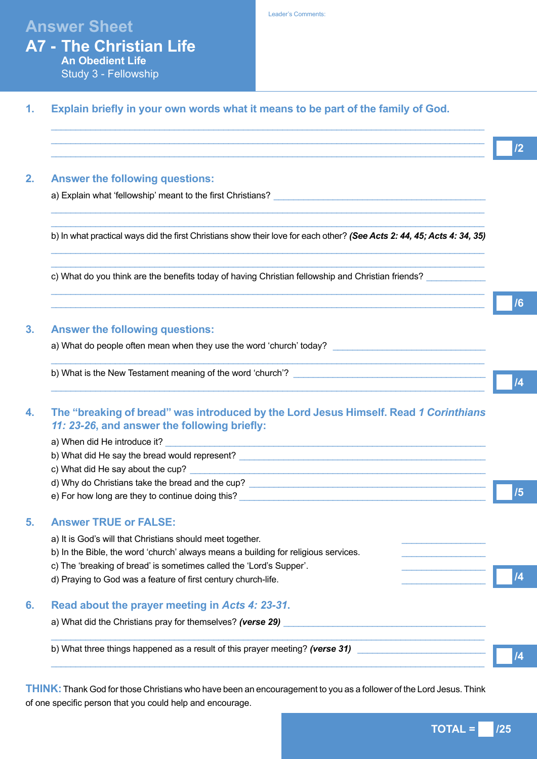# **Answer Sheet**

# **A7 - The Christian Life An Obedient Life** Study 3 - Fellowship

#### Leader's Comments:

# **1. Explain briefly in your own words what it means to be part of the family of God.**

| <b>Answer the following questions:</b>                                                                                                                                                                                         |  |
|--------------------------------------------------------------------------------------------------------------------------------------------------------------------------------------------------------------------------------|--|
| a) Explain what 'fellowship' meant to the first Christians? The contract of the contract of the contract of the contract of the contract of the contract of the contract of the contract of the contract of the contract of th |  |
| b) In what practical ways did the first Christians show their love for each other? (See Acts 2: 44, 45; Acts 4: 34, 35)                                                                                                        |  |
| c) What do you think are the benefits today of having Christian fellowship and Christian friends?<br>,我们也不能在这里的时候,我们也不能在这里的时候,我们也不能会在这里的时候,我们也不能会在这里的时候,我们也不能会在这里的时候,我们也不能会在这里的时候,我们也                                          |  |
|                                                                                                                                                                                                                                |  |
| <b>Answer the following questions:</b>                                                                                                                                                                                         |  |
|                                                                                                                                                                                                                                |  |
| b) What is the New Testament meaning of the word 'church'? [Contendent content of the New Testament meaning of the word 'church'? [Content content of the New Testament meaning of the word 'church'?                          |  |
| The "breaking of bread" was introduced by the Lord Jesus Himself. Read 1 Corinthians<br>11: 23-26, and answer the following briefly:                                                                                           |  |
|                                                                                                                                                                                                                                |  |
|                                                                                                                                                                                                                                |  |
|                                                                                                                                                                                                                                |  |
|                                                                                                                                                                                                                                |  |
|                                                                                                                                                                                                                                |  |
|                                                                                                                                                                                                                                |  |
| a) When did He introduce it?<br>b) What did He say the bread would represent?<br><b>Answer TRUE or FALSE:</b><br>a) It is God's will that Christians should meet together.                                                     |  |
| b) In the Bible, the word 'church' always means a building for religious services.                                                                                                                                             |  |
| c) The 'breaking of bread' is sometimes called the 'Lord's Supper'.                                                                                                                                                            |  |
| d) Praying to God was a feature of first century church-life.                                                                                                                                                                  |  |
| Read about the prayer meeting in Acts 4: 23-31.                                                                                                                                                                                |  |
| a) What did the Christians pray for themselves? (verse 29)                                                                                                                                                                     |  |

**THINK:** Thank God for those Christians who have been an encouragement to you as a follower of the Lord Jesus. Think of one specific person that you could help and encourage.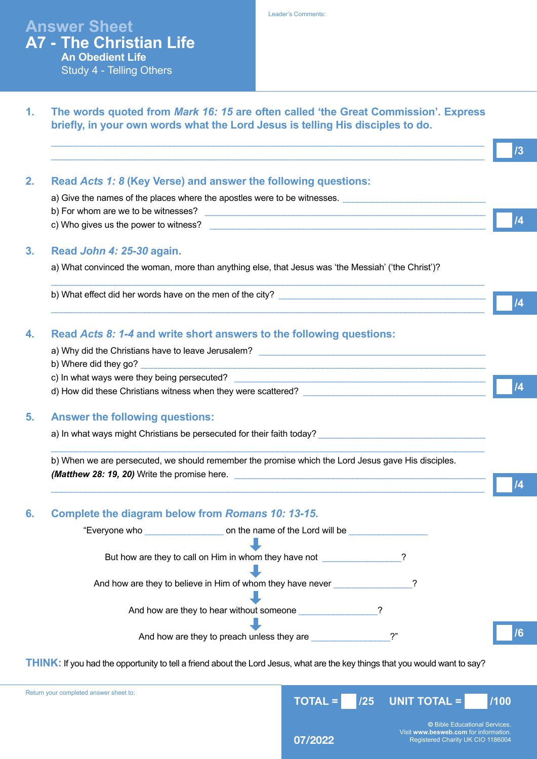**Answer Sheet A7 - The Christian Life An Obedient Life** Study 4 - Telling Others

| Read Acts 1: 8 (Key Verse) and answer the following questions:                                                                                     |  |
|----------------------------------------------------------------------------------------------------------------------------------------------------|--|
| a) Give the names of the places where the apostles were to be witnesses.                                                                           |  |
|                                                                                                                                                    |  |
|                                                                                                                                                    |  |
| Read John 4: 25-30 again.                                                                                                                          |  |
| a) What convinced the woman, more than anything else, that Jesus was 'the Messiah' ('the Christ')?                                                 |  |
|                                                                                                                                                    |  |
| Read Acts 8: 1-4 and write short answers to the following questions:                                                                               |  |
|                                                                                                                                                    |  |
|                                                                                                                                                    |  |
|                                                                                                                                                    |  |
| <b>Answer the following questions:</b>                                                                                                             |  |
| a) In what ways might Christians be persecuted for their faith today?                                                                              |  |
| b) When we are persecuted, we should remember the promise which the Lord Jesus gave His disciples.<br>(Matthew 28: 19, 20) Write the promise here. |  |
|                                                                                                                                                    |  |
| Complete the diagram below from Romans 10: 13-15.                                                                                                  |  |
|                                                                                                                                                    |  |
| But how are they to call on Him in whom they have not                                                                                              |  |
| And how are they to believe in Him of whom they have never                                                                                         |  |
| And how are they to hear without someone                                                                                                           |  |
| And how are they to preach unless they are                                                                                                         |  |

Return your completed answer sheet to:

**©** Bible Educational Services. Visit **www.besweb.com** for information. Registered Charity UK CIO 1186004

**TOTAL = /25 UNIT TOTAL = /100** 

**07/2022**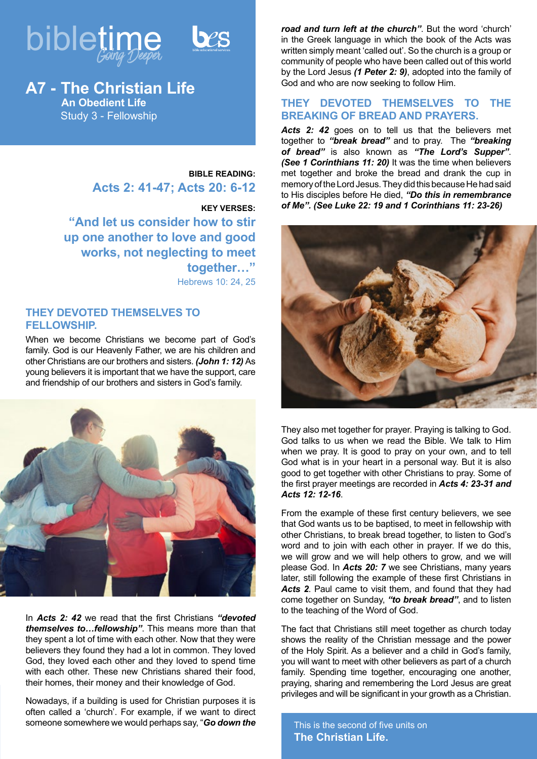



# **A7 - The Christian Life An Obedient Life**

Study 3 - Fellowship

**BIBLE READING: Acts 2: 41-47; Acts 20: 6-12**

**KEY VERSES: "And let us consider how to stir up one another to love and good works, not neglecting to meet together…"** Hebrews 10: 24, 25

# **THEY DEVOTED THEMSELVES TO FELLOWSHIP.**

When we become Christians we become part of God's family. God is our Heavenly Father, we are his children and other Christians are our brothers and sisters. *(John 1: 12)* As young believers it is important that we have the support, care and friendship of our brothers and sisters in God's family.



In *Acts 2: 42* we read that the first Christians *"devoted themselves to…fellowship"*. This means more than that they spent a lot of time with each other. Now that they were believers they found they had a lot in common. They loved God, they loved each other and they loved to spend time with each other. These new Christians shared their food, their homes, their money and their knowledge of God.

Nowadays, if a building is used for Christian purposes it is often called a 'church'. For example, if we want to direct someone somewhere we would perhaps say, "*Go down the*  *road and turn left at the church"*. But the word 'church' in the Greek language in which the book of the Acts was written simply meant 'called out'. So the church is a group or community of people who have been called out of this world by the Lord Jesus *(1 Peter 2: 9)*, adopted into the family of God and who are now seeking to follow Him.

# **THEY DEVOTED THEMSELVES TO THE BREAKING OF BREAD AND PRAYERS.**

Acts 2: 42 goes on to tell us that the believers met together to *"break bread"* and to pray. The *"breaking of bread"* is also known as *"The Lord's Supper"*. *(See 1 Corinthians 11: 20)* It was the time when believers met together and broke the bread and drank the cup in memory of the Lord Jesus. They did this because He had said to His disciples before He died, *"Do this in remembrance of Me". (See Luke 22: 19 and 1 Corinthians 11: 23-26)*



They also met together for prayer. Praying is talking to God. God talks to us when we read the Bible. We talk to Him when we pray. It is good to pray on your own, and to tell God what is in your heart in a personal way. But it is also good to get together with other Christians to pray. Some of the first prayer meetings are recorded in *Acts 4: 23-31 and Acts 12: 12-16*.

From the example of these first century believers, we see that God wants us to be baptised, to meet in fellowship with other Christians, to break bread together, to listen to God's word and to join with each other in prayer. If we do this, we will grow and we will help others to grow, and we will please God. In *Acts 20: 7* we see Christians, many years later, still following the example of these first Christians in *Acts 2*. Paul came to visit them, and found that they had come together on Sunday, *"to break bread"*, and to listen to the teaching of the Word of God.

The fact that Christians still meet together as church today shows the reality of the Christian message and the power of the Holy Spirit. As a believer and a child in God's family, you will want to meet with other believers as part of a church family. Spending time together, encouraging one another, praying, sharing and remembering the Lord Jesus are great privileges and will be significant in your growth as a Christian.

This is the second of five units on **The Christian Life.**